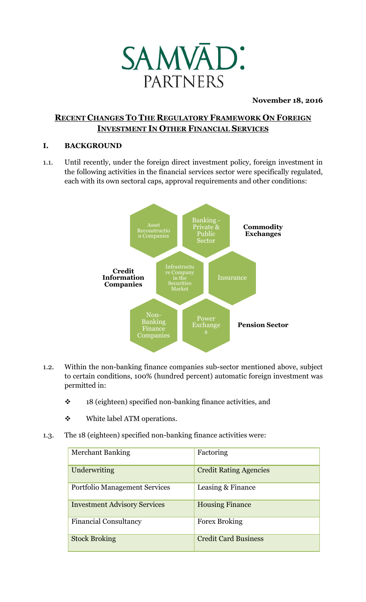

### **November 18, 2016**

# **RECENT CHANGES TO THE REGULATORY FRAMEWORK ON FOREIGN INVESTMENT IN OTHER FINANCIAL SERVICES**

### **I. BACKGROUND**

1.1. Until recently, under the foreign direct investment policy, foreign investment in the following activities in the financial services sector were specifically regulated, each with its own sectoral caps, approval requirements and other conditions:



- 1.2. Within the non-banking finance companies sub-sector mentioned above, subject to certain conditions, 100% (hundred percent) automatic foreign investment was permitted in:
	- ❖ 18 (eighteen) specified non-banking finance activities, and
	- ❖ White label ATM operations.
- 1.3. The 18 (eighteen) specified non-banking finance activities were:

| <b>Merchant Banking</b>              | Factoring                     |
|--------------------------------------|-------------------------------|
| Underwriting                         | <b>Credit Rating Agencies</b> |
| <b>Portfolio Management Services</b> | Leasing & Finance             |
| <b>Investment Advisory Services</b>  | <b>Housing Finance</b>        |
| <b>Financial Consultancy</b>         | <b>Forex Broking</b>          |
| <b>Stock Broking</b>                 | <b>Credit Card Business</b>   |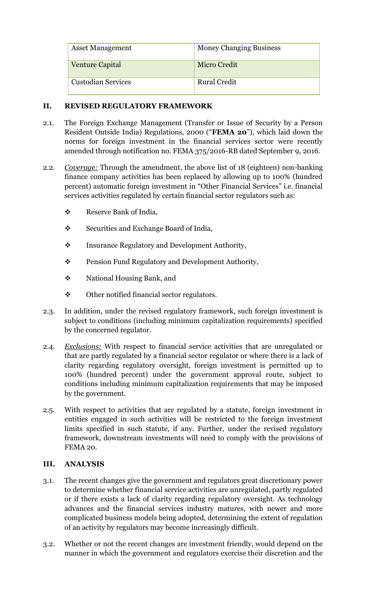| <b>Asset Management</b>   | <b>Money Changing Business</b> |
|---------------------------|--------------------------------|
| <b>Venture Capital</b>    | <b>Micro Credit</b>            |
| <b>Custodian Services</b> | <b>Rural Credit</b>            |

### **II. REVISED REGULATORY FRAMEWORK**

- 2.1. The Foreign Exchange Management (Transfer or Issue of Security by a Person Resident Outside India) Regulations, 2000 ("**FEMA 20**"), which laid down the norms for foreign investment in the financial services sector were recently amended through notification no. FEMA 375/2016-RB dated September 9, 2016.
- 2.2. *Coverage:* Through the amendment, the above list of 18 (eighteen) non-banking finance company activities has been replaced by allowing up to 100% (hundred percent) automatic foreign investment in "Other Financial Services" i.e. financial services activities regulated by certain financial sector regulators such as:
	- ❖ Reserve Bank of India,
	- ❖ Securities and Exchange Board of India,
	- ❖ Insurance Regulatory and Development Authority,
	- ❖ Pension Fund Regulatory and Development Authority,
	- ❖ National Housing Bank, and
	- ❖ Other notified financial sector regulators.
- 2.3. In addition, under the revised regulatory framework, such foreign investment is subject to conditions (including minimum capitalization requirements) specified by the concerned regulator.
- 2.4. *Exclusions:* With respect to financial service activities that are unregulated or that are partly regulated by a financial sector regulator or where there is a lack of clarity regarding regulatory oversight, foreign investment is permitted up to 100% (hundred percent) under the government approval route, subject to conditions including minimum capitalization requirements that may be imposed by the government.
- 2.5. With respect to activities that are regulated by a statute, foreign investment in entities engaged in such activities will be restricted to the foreign investment limits specified in such statute, if any. Further, under the revised regulatory framework, downstream investments will need to comply with the provisions of FEMA 20.

## **III. ANALYSIS**

- 3.1. The recent changes give the government and regulators great discretionary power to determine whether financial service activities are unregulated, partly regulated or if there exists a lack of clarity regarding regulatory oversight. As technology advances and the financial services industry matures, with newer and more complicated business models being adopted, determining the extent of regulation of an activity by regulators may become increasingly difficult.
- 3.2. Whether or not the recent changes are investment friendly, would depend on the manner in which the government and regulators exercise their discretion and the